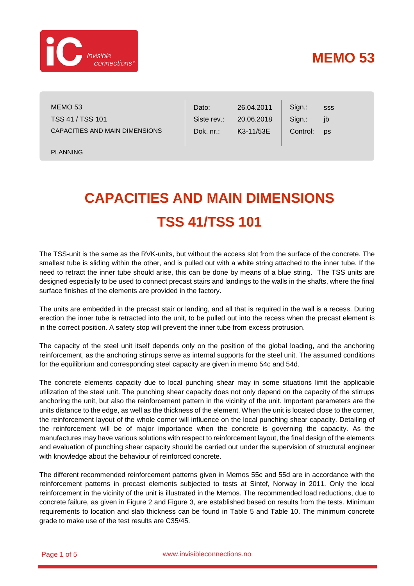

## **MEMO 53**

MEMO 53 TSS 41 / TSS 101 CAPACITIES AND MAIN DIMENSIONS

PLANNING

Dato: Siste rev.: Dok. nr.: Sign.: Sign.: Control: 26.04.2011 20.06.2018 K3-11/53E sss jb ps

## **CAPACITIES AND MAIN DIMENSIONS TSS 41/TSS 101**

The TSS-unit is the same as the RVK-units, but without the access slot from the surface of the concrete. The smallest tube is sliding within the other, and is pulled out with a white string attached to the inner tube. If the need to retract the inner tube should arise, this can be done by means of a blue string. The TSS units are designed especially to be used to connect precast stairs and landings to the walls in the shafts, where the final surface finishes of the elements are provided in the factory.

The units are embedded in the precast stair or landing, and all that is required in the wall is a recess. During erection the inner tube is retracted into the unit, to be pulled out into the recess when the precast element is in the correct position. A safety stop will prevent the inner tube from excess protrusion.

The capacity of the steel unit itself depends only on the position of the global loading, and the anchoring reinforcement, as the anchoring stirrups serve as internal supports for the steel unit. The assumed conditions for the equilibrium and corresponding steel capacity are given in memo 54c and 54d.

The concrete elements capacity due to local punching shear may in some situations limit the applicable utilization of the steel unit. The punching shear capacity does not only depend on the capacity of the stirrups anchoring the unit, but also the reinforcement pattern in the vicinity of the unit. Important parameters are the units distance to the edge, as well as the thickness of the element. When the unit is located close to the corner, the reinforcement layout of the whole corner will influence on the local punching shear capacity. Detailing of the reinforcement will be of major importance when the concrete is governing the capacity. As the manufactures may have various solutions with respect to reinforcement layout, the final design of the elements and evaluation of punching shear capacity should be carried out under the supervision of structural engineer with knowledge about the behaviour of reinforced concrete.

The different recommended reinforcement patterns given in Memos 55c and 55d are in accordance with the reinforcement patterns in precast elements subjected to tests at Sintef, Norway in 2011. Only the local reinforcement in the vicinity of the unit is illustrated in the Memos. The recommended load reductions, due to concrete failure, as given in [Figure 2](#page-4-0) and [Figure 3,](#page-4-1) are established based on results from the tests. Minimum requirements to location and slab thickness can be found in [Table 5](#page-2-0) and [Table 10.](#page-3-0) The minimum concrete grade to make use of the test results are C35/45.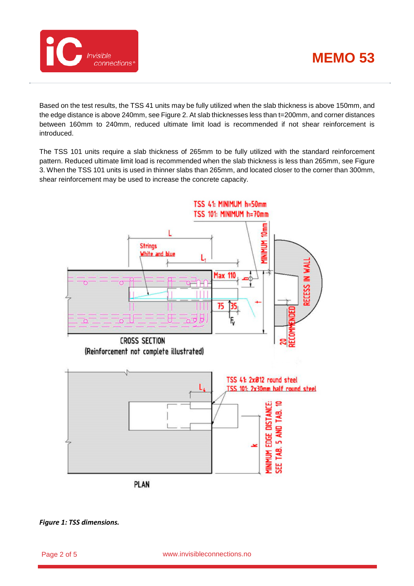



Based on the test results, the TSS 41 units may be fully utilized when the slab thickness is above 150mm, and the edge distance is above 240mm, se[e Figure 2.](#page-4-0) At slab thicknesses less than t=200mm, and corner distances between 160mm to 240mm, reduced ultimate limit load is recommended if not shear reinforcement is introduced.

The TSS 101 units require a slab thickness of 265mm to be fully utilized with the standard reinforcement pattern. Reduced ultimate limit load is recommended when the slab thickness is less than 265mm, see [Figure](#page-4-1)  [3.](#page-4-1) When the TSS 101 units is used in thinner slabs than 265mm, and located closer to the corner than 300mm, shear reinforcement may be used to increase the concrete capacity.



<span id="page-1-0"></span>*Figure 1: TSS dimensions.*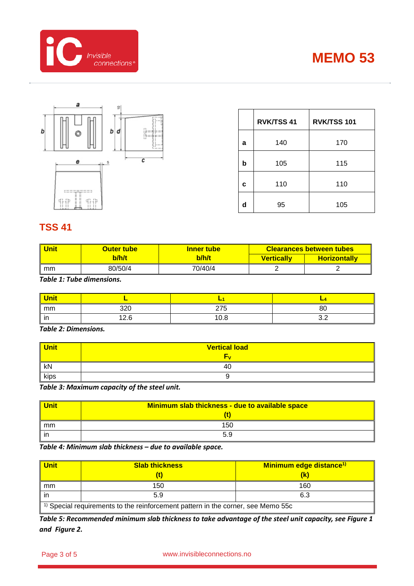





|   | <b>RVK/TSS 41</b> | RVK/TSS 101 |
|---|-------------------|-------------|
| a | 140               | 170         |
| b | 105               | 115         |
| C | 110               | 110         |
| d | 95                | 105         |

## **TSS 41**

| Unit | <b>Outer tube</b> | <b>Inner tube</b> |                   | <b>Clearances between tubes</b> |
|------|-------------------|-------------------|-------------------|---------------------------------|
|      | b/h/t             | b/h/t             | <b>Vertically</b> | <b>Horizontally</b>             |
| mm   | 80/50/4           | 70/40/4           |                   |                                 |

*Table 1: Tube dimensions.*

| <mark>Unit</mark> |            |      |     |
|-------------------|------------|------|-----|
| mm                | 220<br>∪∠ت | 275  | 80  |
| in                | 12.6       | 10.8 | ◡.← |

*Table 2: Dimensions.*

| <b>Unit</b> | <b>Vertical load</b> |  |
|-------------|----------------------|--|
|             |                      |  |
| kN          | 40                   |  |
| kips        |                      |  |

*Table 3: Maximum capacity of the steel unit.*

| <mark>l Unit</mark> | Minimum slab thickness - due to available space |  |
|---------------------|-------------------------------------------------|--|
|                     |                                                 |  |
| mm                  | 150                                             |  |
| l in                | 5.9                                             |  |

*Table 4: Minimum slab thickness – due to available space.*

| <b>Unit</b>                                                                                 | <b>Slab thickness</b> | Minimum edge distance <sup>1)</sup> |  |
|---------------------------------------------------------------------------------------------|-----------------------|-------------------------------------|--|
|                                                                                             |                       |                                     |  |
| mm                                                                                          | 150                   | 160                                 |  |
|                                                                                             | 5.9                   | 6.3                                 |  |
| <sup>1)</sup> Special requirements to the reinforcement pattern in the corner, see Memo 55c |                       |                                     |  |

<span id="page-2-0"></span>*Table 5: Recommended minimum slab thickness to take advantage of the steel unit capacity, see [Figure 1](#page-1-0) and [Figure 2.](#page-4-0)*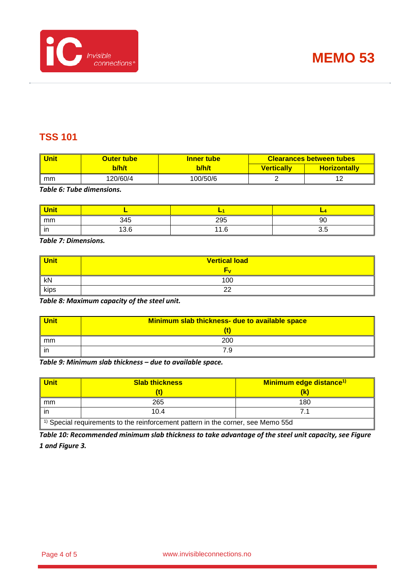



## **TSS 101**

| Unit | Outer tube | <b>Inner tube</b> |                   | <b>Clearances between tubes</b> |
|------|------------|-------------------|-------------------|---------------------------------|
|      | b/h/t      | b/h/t             | <b>Vertically</b> | <b>Horizontally</b>             |
| mm   | 120/60/4   | 100/50/6          |                   |                                 |

*Table 6: Tube dimensions.*

| <b>Unit</b> |      |     |            |
|-------------|------|-----|------------|
| mm          | 345  | 295 | 90         |
| . .<br>ın   | 13.6 | 1.6 | : n<br>ບ.ບ |

*Table 7: Dimensions.*

| Unit | <b>Vertical load</b> |  |
|------|----------------------|--|
|      | ٣v                   |  |
| kN   | 100                  |  |
| kips | ററ<br>--             |  |

*Table 8: Maximum capacity of the steel unit.*

| <b>Unit</b> | Minimum slab thickness- due to available space |  |
|-------------|------------------------------------------------|--|
|             |                                                |  |
| mm          | 200                                            |  |
| in          | 7.9                                            |  |

*Table 9: Minimum slab thickness – due to available space.*

| <b>Unit</b>                                                                                 | <b>Slab thickness</b> | Minimum edge distance <sup>1)</sup> |
|---------------------------------------------------------------------------------------------|-----------------------|-------------------------------------|
|                                                                                             |                       |                                     |
| mm                                                                                          | 265                   | 180                                 |
| ın                                                                                          | 10.4                  |                                     |
| <sup>1)</sup> Special requirements to the reinforcement pattern in the corner, see Memo 55d |                       |                                     |

<span id="page-3-0"></span>*Table 10: Recommended minimum slab thickness to take advantage of the steel unit capacity, se[e Figure](#page-1-0)  [1](#page-1-0) an[d Figure 3.](#page-4-1)*